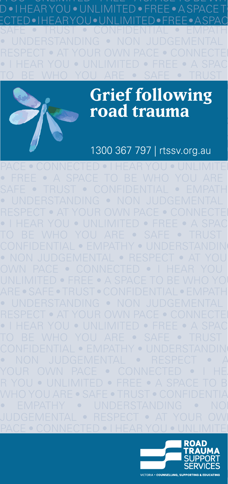

RESPECT • AT YOUR OWN PACE • CONNECTEI  $\bullet$  I HEAR YOU  $\bullet$  UNLIMITED  $\bullet$  FREE  $\bullet$  A SPAC <u>to be who you are • safe • trust </u>



#### $C_{\text{min}}$   $C_{\text{min}}$   $C_{\text{min}}$   $C_{\text{min}}$  $\mathbf{u}$  and  $\mathbf{v}$  are  $\mathbf{u}$  to  $\mathbf{u}$  and  $\mathbf{v}$  and  $\mathbf{v}$  and  $\mathbf{v}$  are  $\mathbf{v}$  and  $\mathbf{v}$  are  $\mathbf{v}$  and  $\mathbf{v}$  are  $\mathbf{v}$  and  $\mathbf{v}$  are  $\mathbf{v}$  and  $\mathbf{v}$  are  $\mathbf{v}$  and  $\mathbf{v}$  are **OWN PACE • FOAD ETAL TO FORD • INCOME. Grief following road trauma**

# JUDGEMENTAL • RESPECT • AT YOUR OWN 1300 367 797 | rtssv.org.au

PACE • CONNECTED • I HEAR YOU • UNLIMITE  $\bullet$  FREE  $\bullet$  A SPACE TO BE WHO YOU ARE  $\bullet$  CONFIDENTIAL  $\bullet$  EMPATH • UNDERSTANDING • NON JUDGEMENTAL • RESPECT • AT YOUR OWN PACE • CONNECTEI  $\bullet$  I HEAR YOU  $\bullet$  UNLIMITED  $\bullet$  FREE  $\bullet$  A SPAC TO BE WHO YOU ARE • SAFE • TRUST CONFIDENTIAL • EMPATHY • UNDERSTANDING  $\bullet$  NON JUDGEMENTAL  $\bullet$  RESPECT  $\bullet$  AT YOU OWN PACE • CONNECTED • I HEAR YOU • UNLIMITED • FREE • A SPACE TO BE WHO YO ARE • SAFE • TRUST • CONFIDENTIAL • EMPATHY • UNDERSTANDING • NON JUDGEMENTAL • RESPECT • AT YOUR OWN PACE • CONNECTEI  $\bullet$  I HEAR YOU  $\bullet$  UNLIMITED  $\bullet$  FREE  $\bullet$  A SPAC TO BE WHO YOU ARE • SAFE • TRUST • CONFIDENTIAL • EMPATHY • UNDERSTANDING  $\bullet$  non judgemental  $\bullet$  respect  $\bullet$  a YOUR OWN PACE  $\bullet$  CONNECTED  $\bullet$  I HE. R YOU • UNLIMITED • FREE • SAFF • T y • UND<br>Tai • Bes JUDGEMENTAL • RESPECT • AT YOUR OWN <u>PACE • CONNECTED • I HEAR YOU • UNLIMITE</u>



RESPECT • AT YOUR OWNER PACE • AT YOUR OWNER PACE • AT YOU ARE VERY PACE FOR A FOUND FILM OF A FOUND FILM OF A<br>A F YOUR OWNER PACE FOR A F YOUR OWNER PACE FOR A F YOUR OWNER PACE FOR A F YOUR OWNER PACE FOR A F YOUR OWNER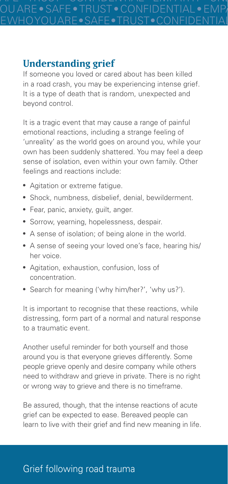BE WHO YOU ARE • SAFE • TRUST • CONFIDENTIAL • EMPATHY • UNDERSTANDING • NON JUDGEMENTAL • RESPECT • AT YOUR OWN PACE • CONNECTED • I HEAR YOU • UNLIMITED • FREE • A SPACE

### **Understanding grief**

If someone you loved or cared about has been killed in a road crash, you may be experiencing intense grief. It is a type of death that is random, unexpected and beyond control.

It is a tragic event that may cause a range of painful emotional reactions, including a strange feeling of 'unreality' as the world goes on around you, while your own has been suddenly shattered. You may feel a deep sense of isolation, even within your own family. Other feelings and reactions include:

- Agitation or extreme fatigue.
- Shock, numbness, disbelief, denial, bewilderment.
- Fear, panic, anxiety, guilt, anger.
- **Sorrow, yearning, hopelessness, despair.**
- A sense of isolation; of being alone in the world.
- A sense of seeing your loved one's face, hearing his/ her voice.
- Agitation, exhaustion, confusion, loss of concentration.
- Search for meaning ('why him/her?', 'why us?').

It is important to recognise that these reactions, while distressing, form part of a normal and natural response to a traumatic event.

Another useful reminder for both yourself and those around you is that everyone grieves differently. Some people grieve openly and desire company while others need to withdraw and grieve in private. There is no right or wrong way to grieve and there is no timeframe.

Be assured, though, that the intense reactions of acute grief can be expected to ease. Bereaved people can learn to live with their grief and find new meaning in life.

# Grief following road trauma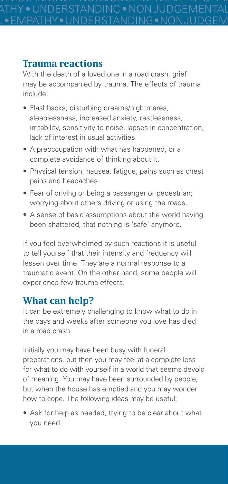SAFE • TRUST • CONFIDENTIAL • EMPATHY • UNDERSTANDING • NON JUDGEMENTAL • RESPECT • AT YOUR OWN PACE • CONNECTED • I HEAR YOU • UNLIMITED • FREE • A SPACE TO BE WHO **• EMPATHY • UNDERSTANDING • NON JUDGEM** 

### **Trauma reactions**

With the death of a loved one in a road crash, grief may be accompanied by trauma. The effects of trauma include:

- Flashbacks, disturbing dreams/nightmares, sleeplessness, increased anxiety, restlessness, irritability, sensitivity to noise, lapses in concentration, lack of interest in usual activities.
- A preoccupation with what has happened, or a complete avoidance of thinking about it.
- Physical tension, nausea, fatigue, pains such as chest pains and headaches.
- Fear of driving or being a passenger or pedestrian; worrying about others driving or using the roads.
- A sense of basic assumptions about the world having been shattered, that nothing is 'safe' anymore.

If you feel overwhelmed by such reactions it is useful to tell yourself that their intensity and frequency will lessen over time. They are a normal response to a traumatic event. On the other hand, some people will experience few trauma effects.

### **What can help?**

It can be extremely challenging to know what to do in the days and weeks after someone you love has died in a road crash.

Initially you may have been busy with funeral preparations, but then you may feel at a complete loss for what to do with yourself in a world that seems devoid of meaning. You may have been surrounded by people, but when the house has emptied and you may wonder how to cope. The following ideas may be useful:

• Ask for help as needed, trying to be clear about what you need.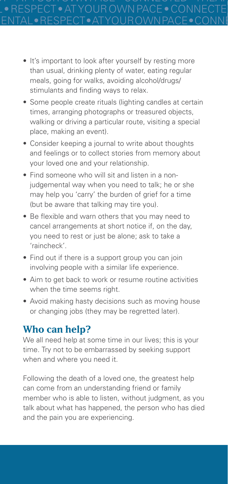- It's important to look after yourself by resting more than usual, drinking plenty of water, eating regular meals, going for walks, avoiding alcohol/drugs/ stimulants and finding ways to relax.
- Some people create rituals (lighting candles at certain times, arranging photographs or treasured objects, walking or driving a particular route, visiting a special place, making an event).
- Consider keeping a journal to write about thoughts and feelings or to collect stories from memory about your loved one and your relationship.
- Find someone who will sit and listen in a nonjudgemental way when you need to talk; he or she may help you 'carry' the burden of grief for a time (but be aware that talking may tire you).
- Be flexible and warn others that you may need to cancel arrangements at short notice if, on the day, you need to rest or just be alone; ask to take a 'raincheck'.
- Find out if there is a support group you can join involving people with a similar life experience.
- Aim to get back to work or resume routine activities when the time seems right.
- Avoid making hasty decisions such as moving house or changing jobs (they may be regretted later).

### **Who can help?**

We all need help at some time in our lives; this is your time. Try not to be embarrassed by seeking support when and where you need it.

Following the death of a loved one, the greatest help can come from an understanding friend or family member who is able to listen, without judgment, as you talk about what has happened, the person who has died and the pain you are experiencing.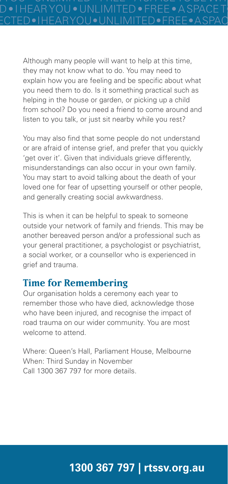Although many people will want to help at this time, they may not know what to do. You may need to explain how you are feeling and be specific about what you need them to do. Is it something practical such as helping in the house or garden, or picking up a child from school? Do you need a friend to come around and listen to you talk, or just sit nearby while you rest?

You may also find that some people do not understand or are afraid of intense grief, and prefer that you quickly 'get over it'. Given that individuals grieve differently, misunderstandings can also occur in your own family. You may start to avoid talking about the death of your loved one for fear of upsetting yourself or other people, and generally creating social awkwardness.

This is when it can be helpful to speak to someone outside your network of family and friends. This may be another bereaved person and/or a professional such as your general practitioner, a psychologist or psychiatrist, a social worker, or a counsellor who is experienced in grief and trauma.

# **Time for Remembering**

Our organisation holds a ceremony each year to remember those who have died, acknowledge those who have been injured, and recognise the impact of road trauma on our wider community. You are most welcome to attend.

Where: Queen's Hall, Parliament House, Melbourne When: Third Sunday in November Call 1300 367 797 for more details.

# **1300 367 797 | rtssv.org.au**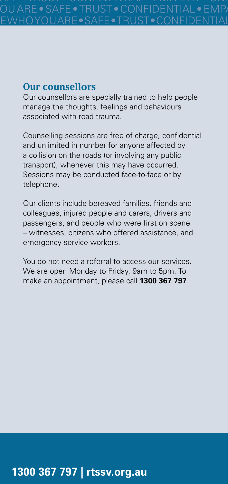#### **Our counsellors**

Our counsellors are specially trained to help people manage the thoughts, feelings and behaviours associated with road trauma.

Counselling sessions are free of charge, confidential and unlimited in number for anyone affected by a collision on the roads (or involving any public transport), whenever this may have occurred. Sessions may be conducted face-to-face or by telephone.

Our clients include bereaved families, friends and colleagues; injured people and carers; drivers and passengers; and people who were first on scene – witnesses, citizens who offered assistance, and emergency service workers.

You do not need a referral to access our services. We are open Monday to Friday, 9am to 5pm. To make an appointment, please call **1300 367 797**.

# **1300 367 797 | rtssv.org.au**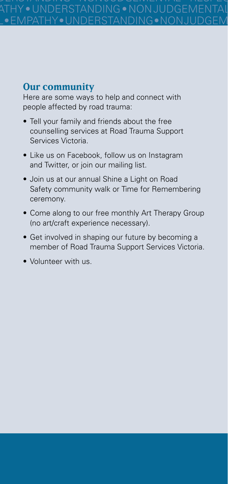SAFE • TRUST • CONFIDENTIAL • EMPATHY • UNDERSTANDING • NON JUDGEMENTAL • RESPECT • AT YOUR OWN PACE • CONNECTED • I HEAR YOU • UNLIMITED • FREE • A SPACE TO BE WHO BE WHO YOU ARE • SAFE • TRUST • CONFIDENTIAL • EMPATHY • UNDERSTANDING • NON JUDGEMENTAL • RESPECT • AT YOUR OWN PACE • CONNECTED • I HEAR YOU • UNLIMITED • FREE • A SPACE

### **Our community**

Here are some ways to help and connect with people affected by road trauma:

- Tell your family and friends about the free counselling services at Road Trauma Support Services Victoria.
- Like us on Facebook, follow us on Instagram and Twitter, or join our mailing list.
- Join us at our annual Shine a Light on Road Safety community walk or Time for Remembering ceremony.
- Come along to our free monthly Art Therapy Group (no art/craft experience necessary).
- Get involved in shaping our future by becoming a member of Road Trauma Support Services Victoria.
- Volunteer with us.